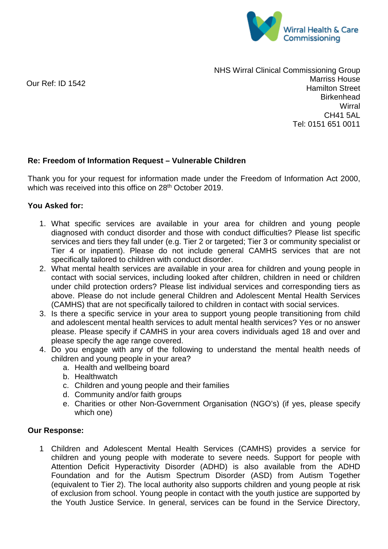

Our Ref: ID 1542

NHS Wirral Clinical Commissioning Group Marriss House Hamilton Street **Birkenhead Wirral** CH41 5AL Tel: 0151 651 0011

## **Re: Freedom of Information Request – Vulnerable Children**

Thank you for your request for information made under the Freedom of Information Act 2000, which was received into this office on 28<sup>th</sup> October 2019.

## **You Asked for:**

- 1. What specific services are available in your area for children and young people diagnosed with conduct disorder and those with conduct difficulties? Please list specific services and tiers they fall under (e.g. Tier 2 or targeted; Tier 3 or community specialist or Tier 4 or inpatient). Please do not include general CAMHS services that are not specifically tailored to children with conduct disorder.
- 2. What mental health services are available in your area for children and young people in contact with social services, including looked after children, children in need or children under child protection orders? Please list individual services and corresponding tiers as above. Please do not include general Children and Adolescent Mental Health Services (CAMHS) that are not specifically tailored to children in contact with social services.
- 3. Is there a specific service in your area to support young people transitioning from child and adolescent mental health services to adult mental health services? Yes or no answer please. Please specify if CAMHS in your area covers individuals aged 18 and over and please specify the age range covered.
- 4. Do you engage with any of the following to understand the mental health needs of children and young people in your area?
	- a. Health and wellbeing board
	- b. Healthwatch
	- c. Children and young people and their families
	- d. Community and/or faith groups
	- e. Charities or other Non-Government Organisation (NGO's) (if yes, please specify which one)

## **Our Response:**

1 Children and Adolescent Mental Health Services (CAMHS) provides a service for children and young people with moderate to severe needs. Support for people with Attention Deficit Hyperactivity Disorder (ADHD) is also available from the ADHD Foundation and for the Autism Spectrum Disorder (ASD) from Autism Together (equivalent to Tier 2). The local authority also supports children and young people at risk of exclusion from school. Young people in contact with the youth justice are supported by the Youth Justice Service. In general, services can be found in the Service Directory,